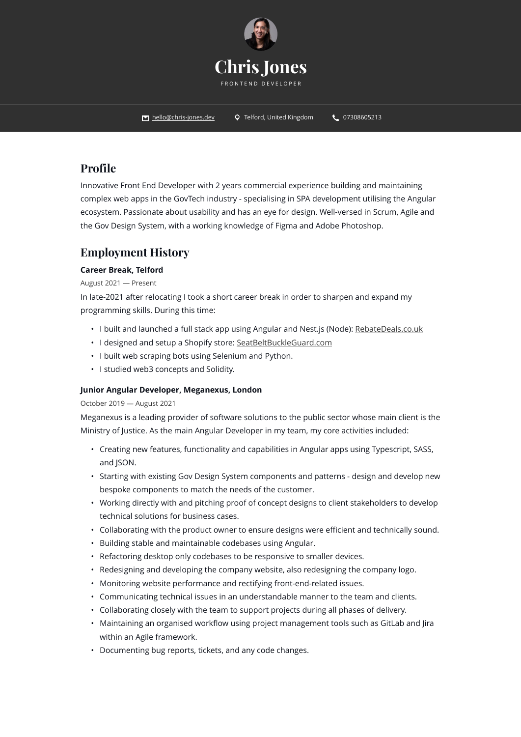

## **Profile**

Innovative Front End Developer with 2 years commercial experience building and maintaining complex web apps in the GovTech industry - specialising in SPA development utilising the Angular ecosystem. Passionate about usability and has an eye for design. Well-versed in Scrum, Agile and the Gov Design System, with a working knowledge of Figma and Adobe Photoshop.

## **Employment History**

### **Career Break, Telford**

August 2021 — Present

In late-2021 after relocating I took a short career break in order to sharpen and expand my programming skills. During this time:

- I built and launched a full stack app using Angular and Nest.js (Node): [RebateDeals.co.uk](https://www.rebatedeals.co.uk/)
- I designed and setup a Shopify store: [SeatBeltBuckleGuard.com](https://seatbeltbuckleguard.com/)
- I built web scraping bots using Selenium and Python.
- I studied web3 concepts and Solidity.

### **Junior Angular Developer, Meganexus, London**

#### October 2019 — August 2021

Meganexus is a leading provider of software solutions to the public sector whose main client is the Ministry of Justice. As the main Angular Developer in my team, my core activities included:

- Creating new features, functionality and capabilities in Angular apps using Typescript, SASS, and JSON.
- Starting with existing Gov Design System components and patterns design and develop new bespoke components to match the needs of the customer.
- Working directly with and pitching proof of concept designs to client stakeholders to develop technical solutions for business cases.
- Collaborating with the product owner to ensure designs were efficient and technically sound.
- Building stable and maintainable codebases using Angular.
- Refactoring desktop only codebases to be responsive to smaller devices.
- Redesigning and developing the company website, also redesigning the company logo.
- Monitoring website performance and rectifying front-end-related issues.
- Communicating technical issues in an understandable manner to the team and clients.
- Collaborating closely with the team to support projects during all phases of delivery.
- Maintaining an organised workflow using project management tools such as GitLab and Jira within an Agile framework.
- Documenting bug reports, tickets, and any code changes.